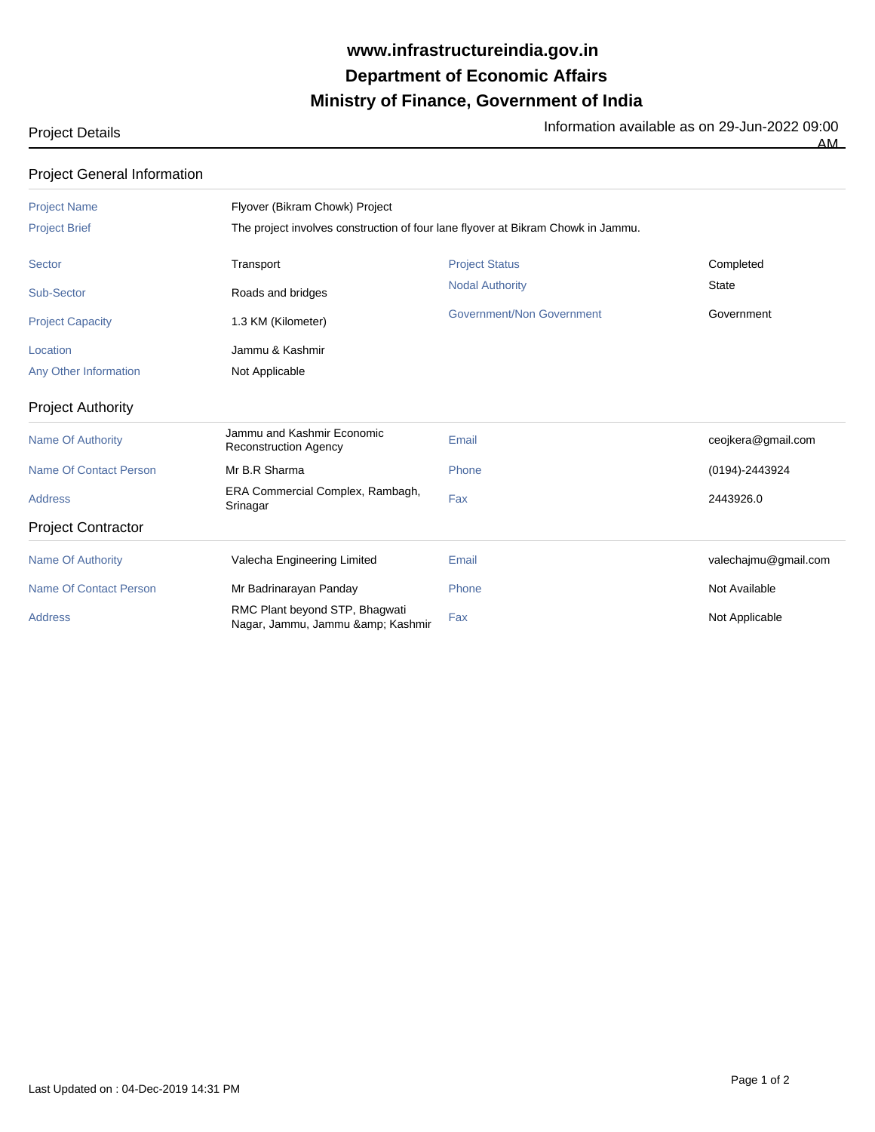## **Ministry of Finance, Government of India Department of Economic Affairs www.infrastructureindia.gov.in**

Project Details **Information available as on 29-Jun-2022** 09:00

AM

| <b>Project General Information</b> |                                                                                  |                           |                      |  |
|------------------------------------|----------------------------------------------------------------------------------|---------------------------|----------------------|--|
| <b>Project Name</b>                | Flyover (Bikram Chowk) Project                                                   |                           |                      |  |
| <b>Project Brief</b>               | The project involves construction of four lane flyover at Bikram Chowk in Jammu. |                           |                      |  |
| Sector                             | Transport                                                                        | <b>Project Status</b>     | Completed            |  |
| Sub-Sector                         | Roads and bridges                                                                | <b>Nodal Authority</b>    | <b>State</b>         |  |
| <b>Project Capacity</b>            | 1.3 KM (Kilometer)                                                               | Government/Non Government | Government           |  |
| Location                           | Jammu & Kashmir                                                                  |                           |                      |  |
| Any Other Information              | Not Applicable                                                                   |                           |                      |  |
| <b>Project Authority</b>           |                                                                                  |                           |                      |  |
| <b>Name Of Authority</b>           | Jammu and Kashmir Economic<br><b>Reconstruction Agency</b>                       | Email                     | ceojkera@gmail.com   |  |
| Name Of Contact Person             | Mr B.R Sharma                                                                    | Phone                     | (0194)-2443924       |  |
| <b>Address</b>                     | ERA Commercial Complex, Rambagh,<br>Srinagar                                     | Fax                       | 2443926.0            |  |
| <b>Project Contractor</b>          |                                                                                  |                           |                      |  |
| <b>Name Of Authority</b>           | Valecha Engineering Limited                                                      | Email                     | valechajmu@gmail.com |  |
| <b>Name Of Contact Person</b>      | Mr Badrinarayan Panday                                                           | Phone                     | Not Available        |  |
| <b>Address</b>                     | RMC Plant beyond STP, Bhagwati<br>Nagar, Jammu, Jammu & Kashmir                  | Fax                       | Not Applicable       |  |